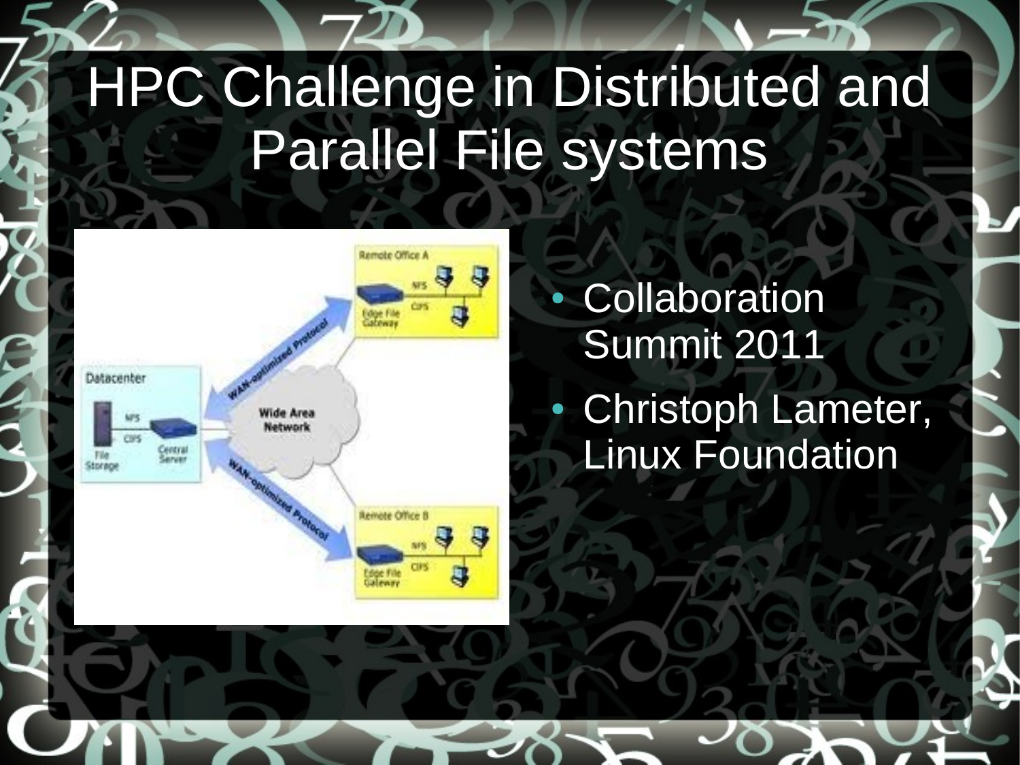## HPC Challenge in Distributed and Parallel File systems



• Collaboration Summit 2011

• Christoph Lameter, Linux Foundation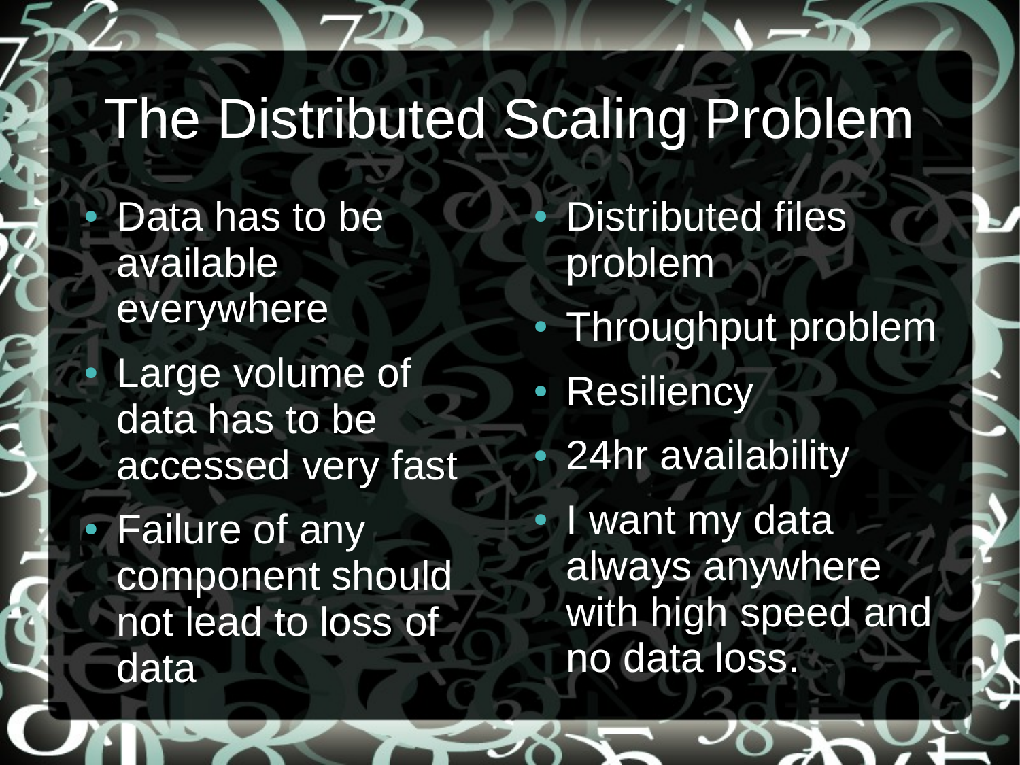## The Distributed Scaling Problem

Data has to be available everywhere

Large volume of data has to be accessed very fast

• Failure of any component should not lead to loss of data

**Distributed files** problem • Throughput problem • Resiliency 24hr availability I want my data always anywhere with high speed and no data loss.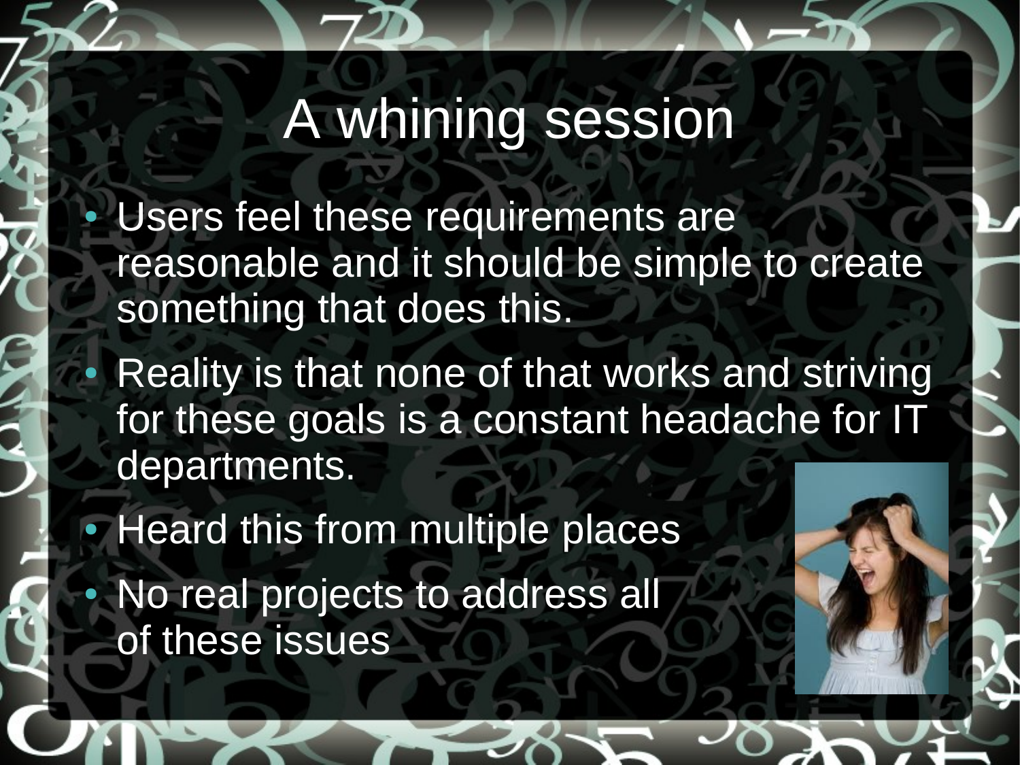## A whining session

Users feel these requirements are reasonable and it should be simple to create something that does this.

Reality is that none of that works and striving for these goals is a constant headache for IT departments.

• Heard this from multiple places No real projects to address all of these issues

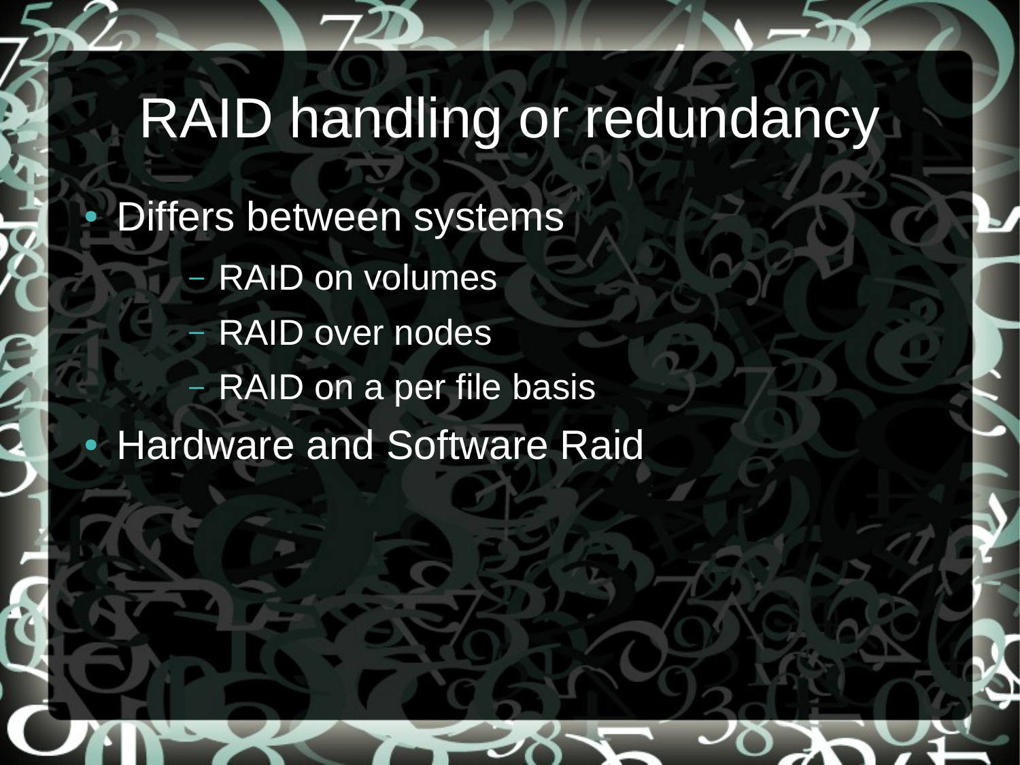### RAID handling or redundancy

**Differs between systems** 

- RAID on volumes
	- RAID over nodes
- RAID on a per file basis
- **Hardware and Software Raid**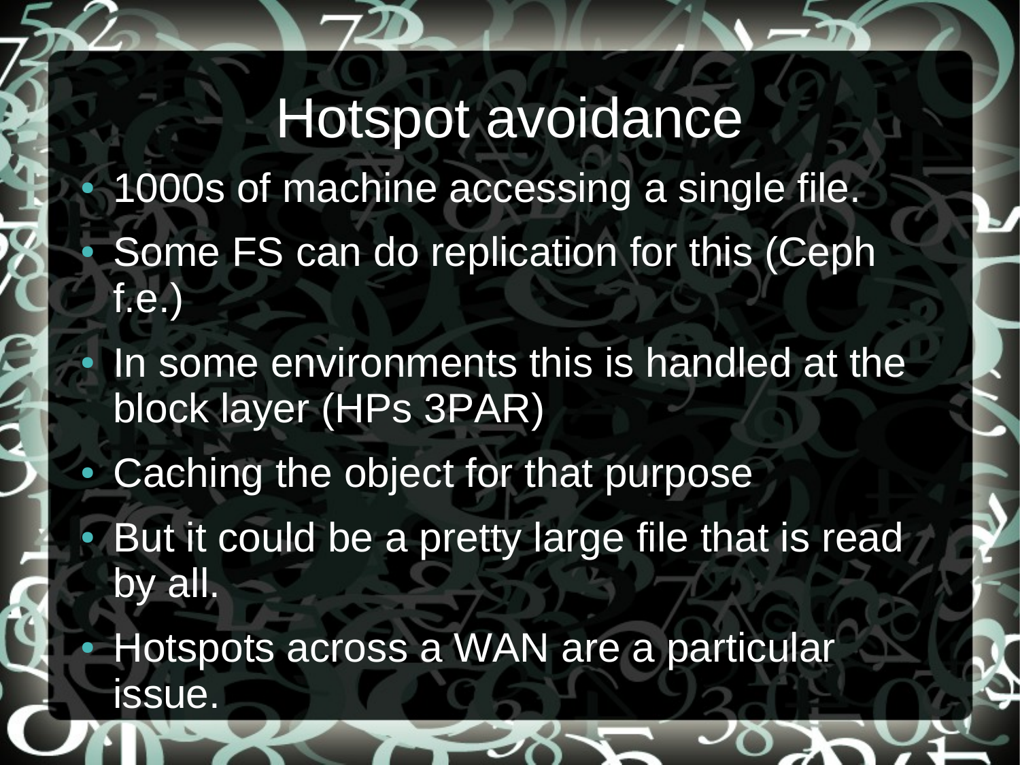Hotspot avoidance 1000s of machine accessing a single file. Some FS can do replication for this (Ceph f.e. In some environments this is handled at the block layer (HPs 3PAR) Caching the object for that purpose But it could be a pretty large file that is read by all. Hotspots across a WAN are a particular issue.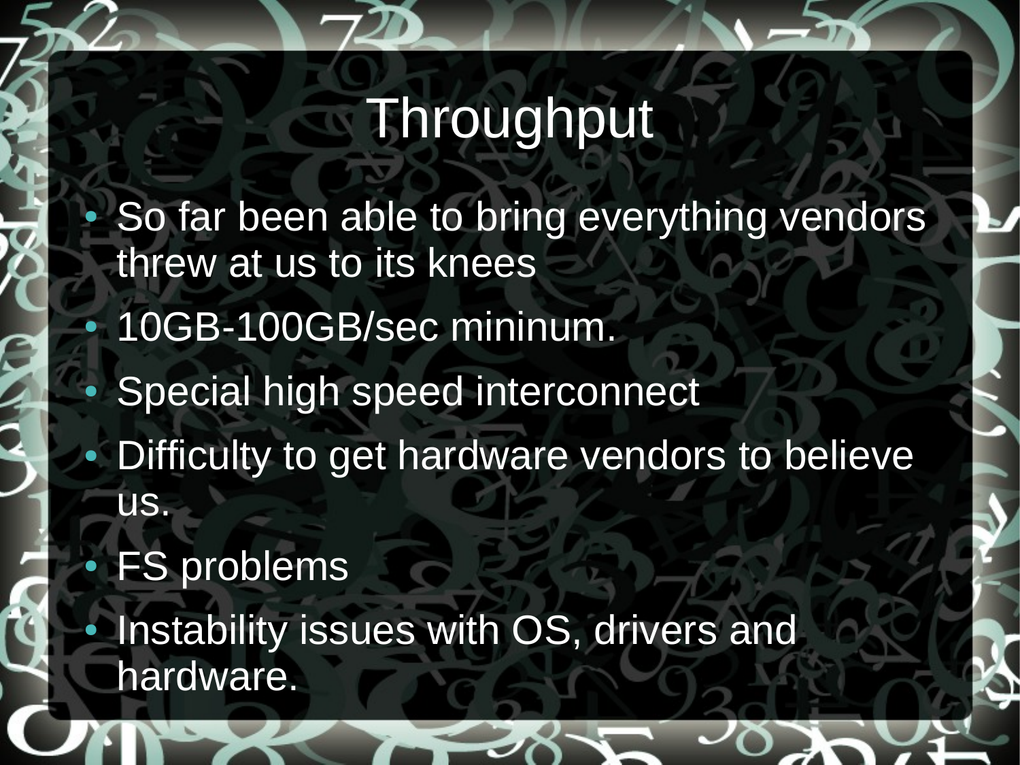## **Throughput**

So far been able to bring everything vendors threw at us to its knees 10GB-100GB/sec mininum. Special high speed interconnect Difficulty to get hardware vendors to believe us. **FS problems** 

Instability issues with OS, drivers and hardware.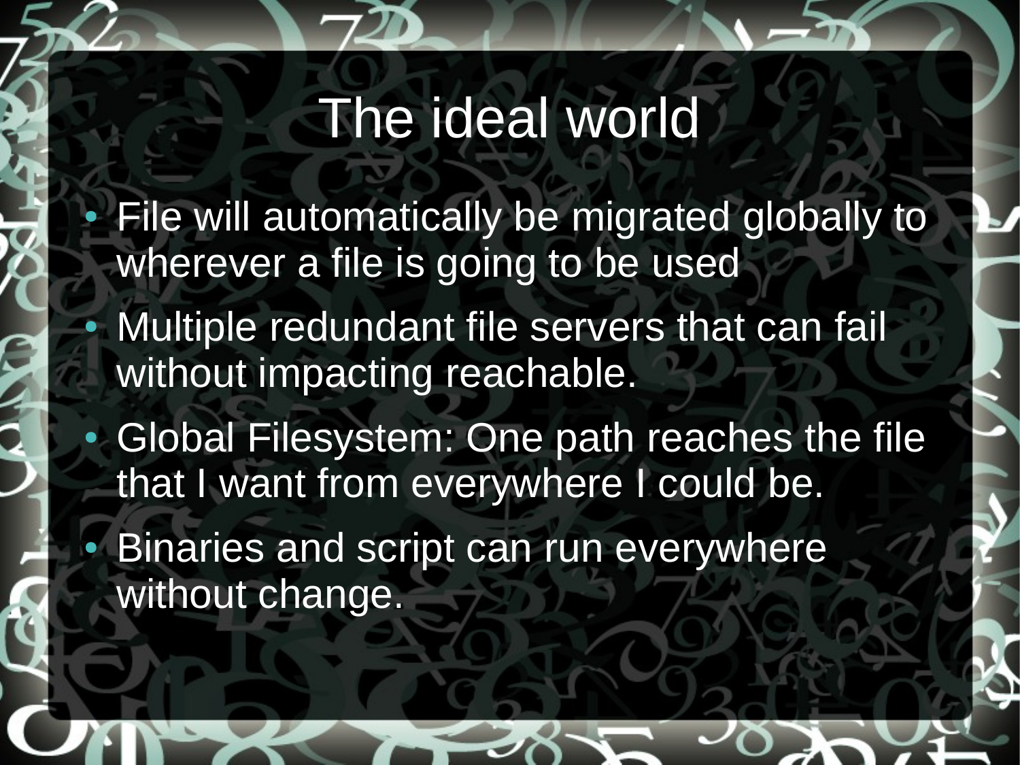## The ideal world

- File will automatically be migrated globally to wherever a file is going to be used
- Multiple redundant file servers that can fail without impacting reachable.
- Global Filesystem: One path reaches the file that I want from everywhere I could be.
- **Binaries and script can run everywhere** without change.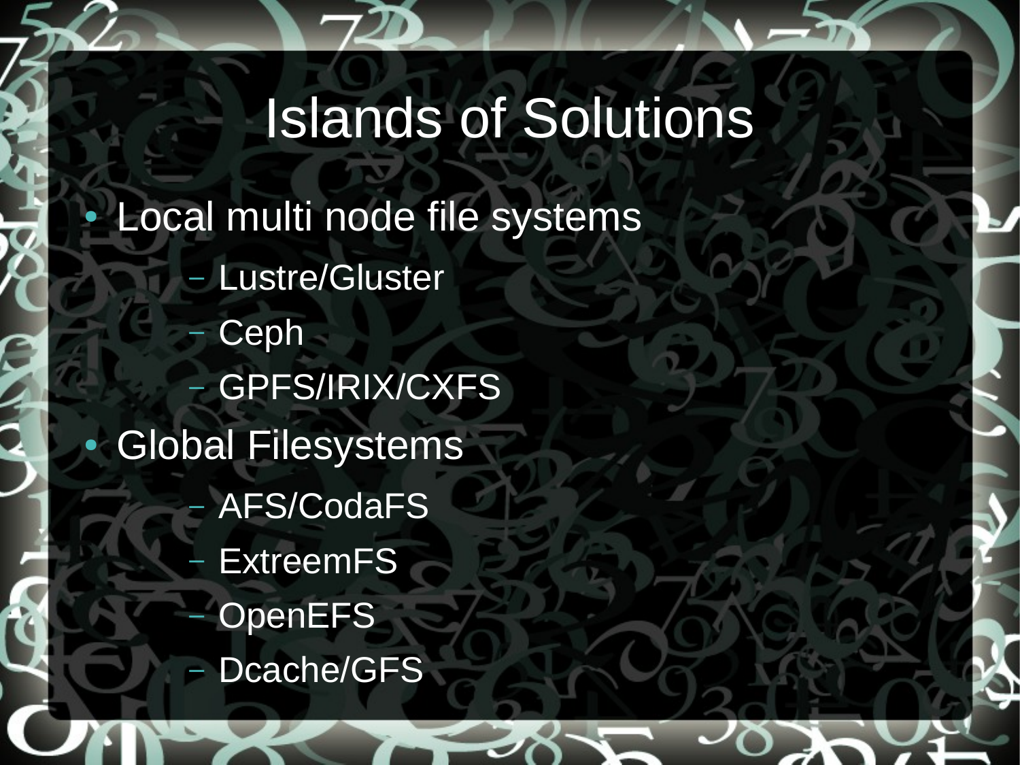## Islands of Solutions

Local multi node file systems

- Lustre/Gluster
- Ceph
- GPFS/IRIX/CXFS
- **Global Filesystems** 
	- AFS/CodaFS
	- **ExtreemFS**
	- **OpenEFS**
	- Dcache/GFS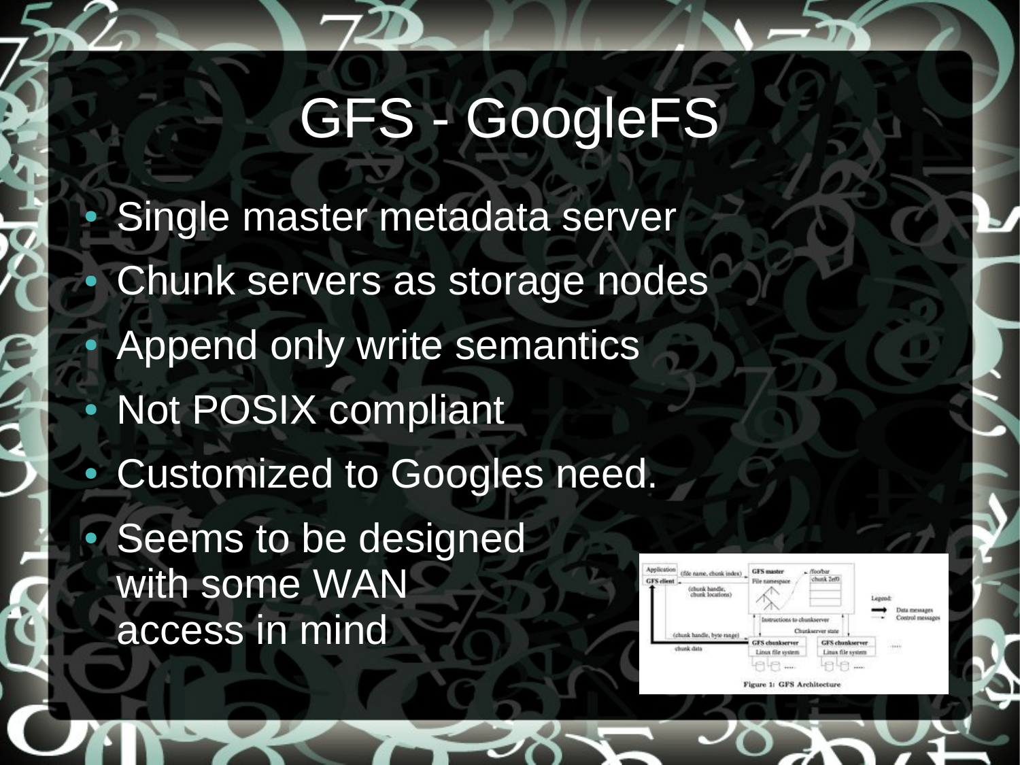## GFS - GoogleFS

Single master metadata server Chunk servers as storage nodes Append only write semantics Not POSIX compliant Customized to Googles need. Seems to be designed with some WAN access in mind

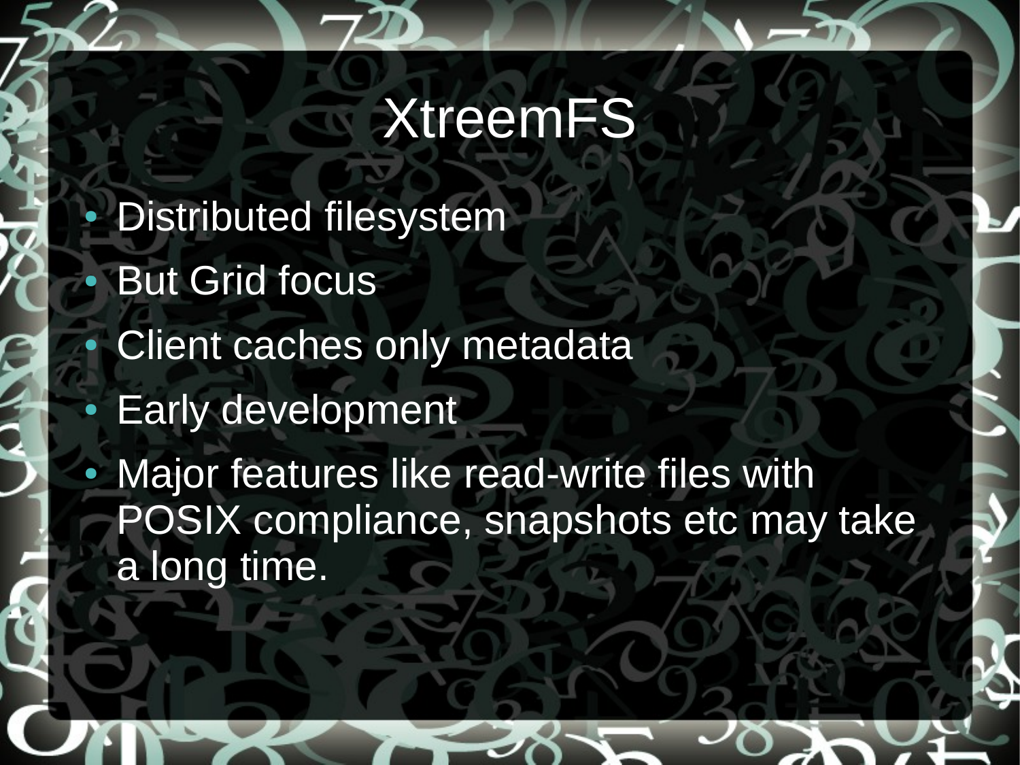#### **XtreemFS**

**Distributed filesystem But Grid focus Client caches only metadata Early development** Major features like read-write files with POSIX compliance, snapshots etc may take a long time.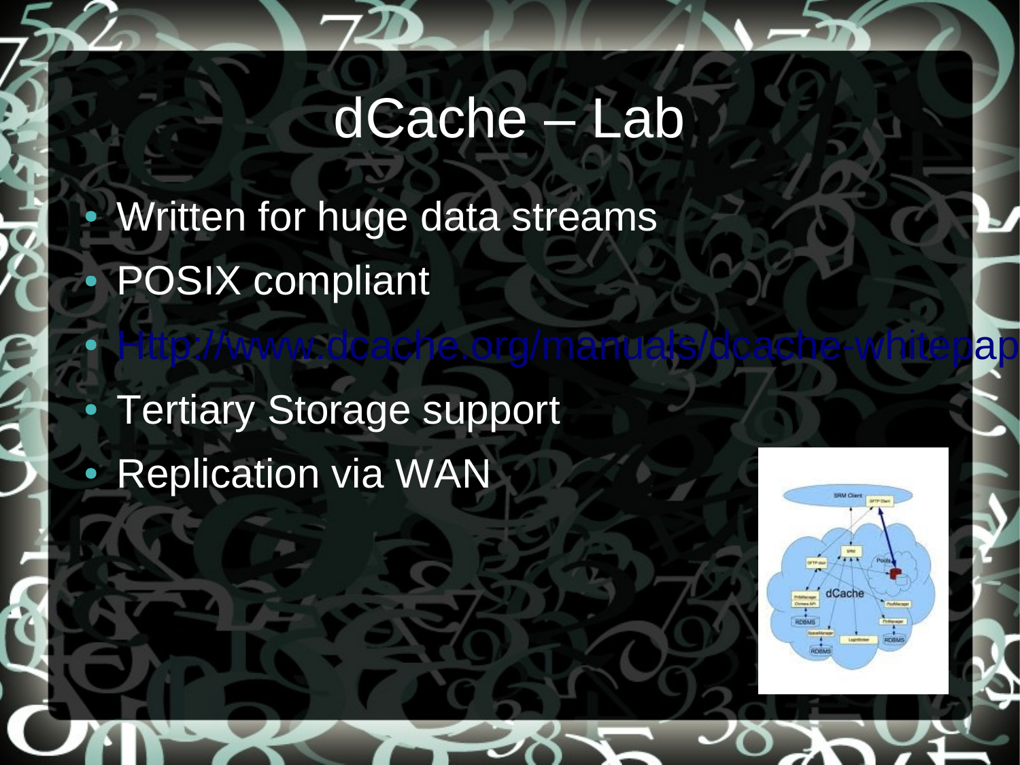### dCache – Lab

• Http://www.dcache.org/manuals/dcache-whitepap

Written for huge data streams POSIX compliant

**Tertiary Storage support Replication via WAN** 

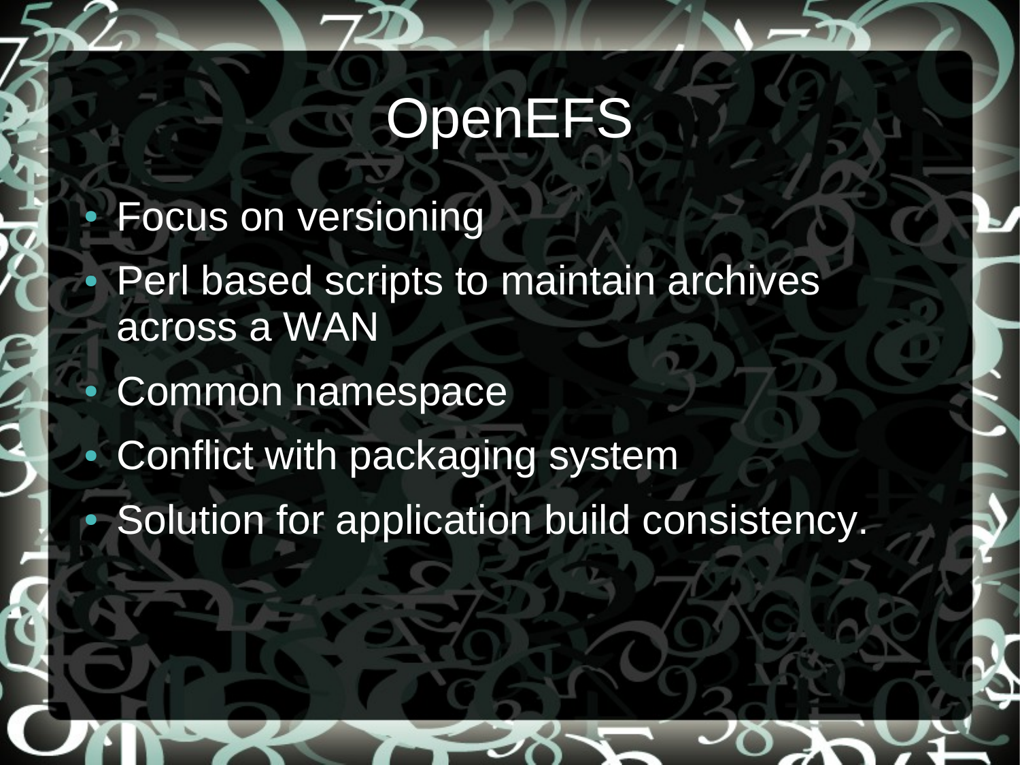## **OpenEFS**

**Focus on versioning** 

Perl based scripts to maintain archives across a WAN

Common namespace

Conflict with packaging system

Solution for application build consistency.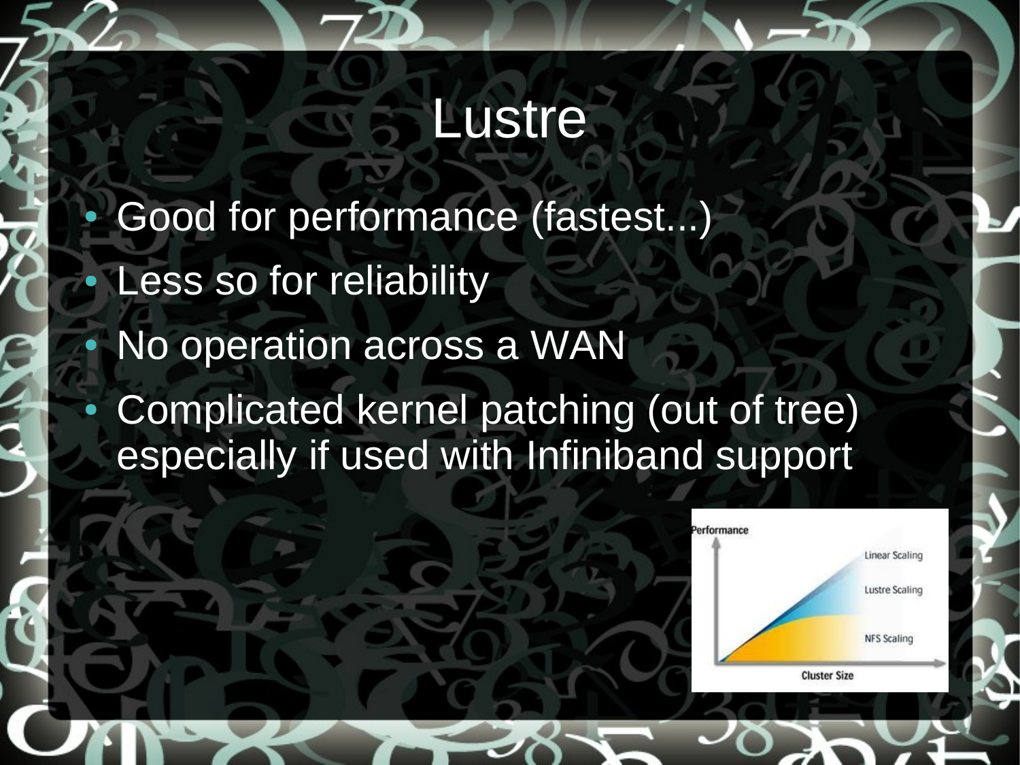#### Lustre

Good for performance (fastest...) Less so for reliability No operation across a WAN Complicated kernel patching (out of tree) especially if used with Infiniband support

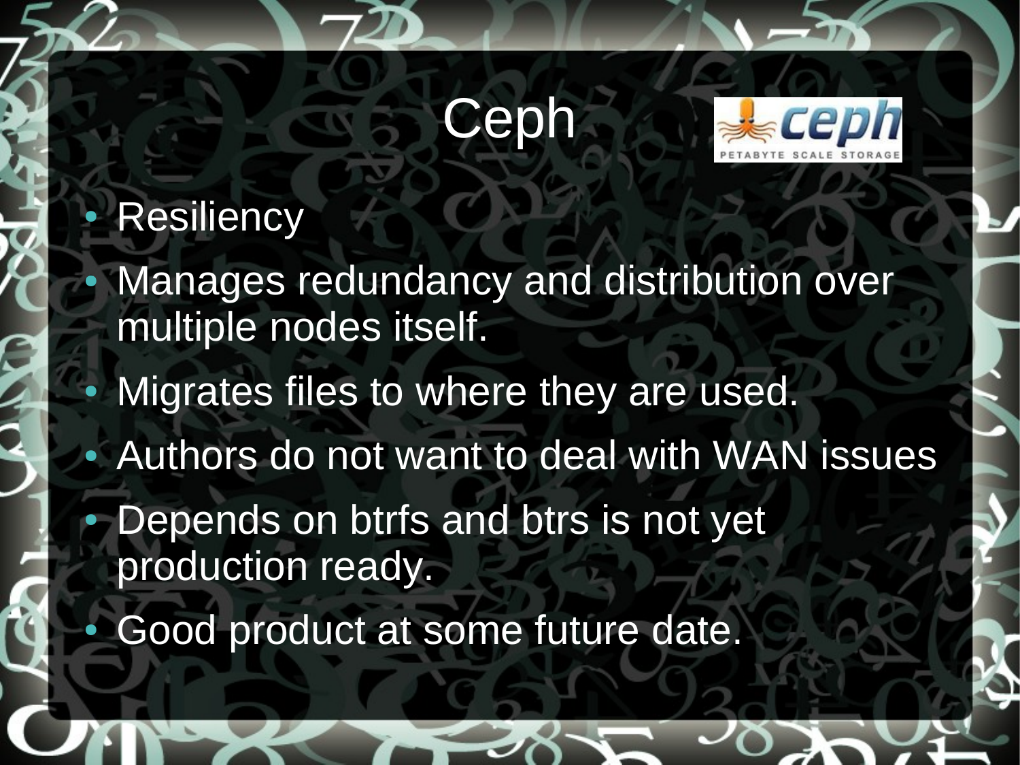## Ceph



#### **Resiliency**

Manages redundancy and distribution over multiple nodes itself. Migrates files to where they are used. Authors do not want to deal with WAN issues Depends on btrfs and btrs is not yet production ready. Good product at some future date.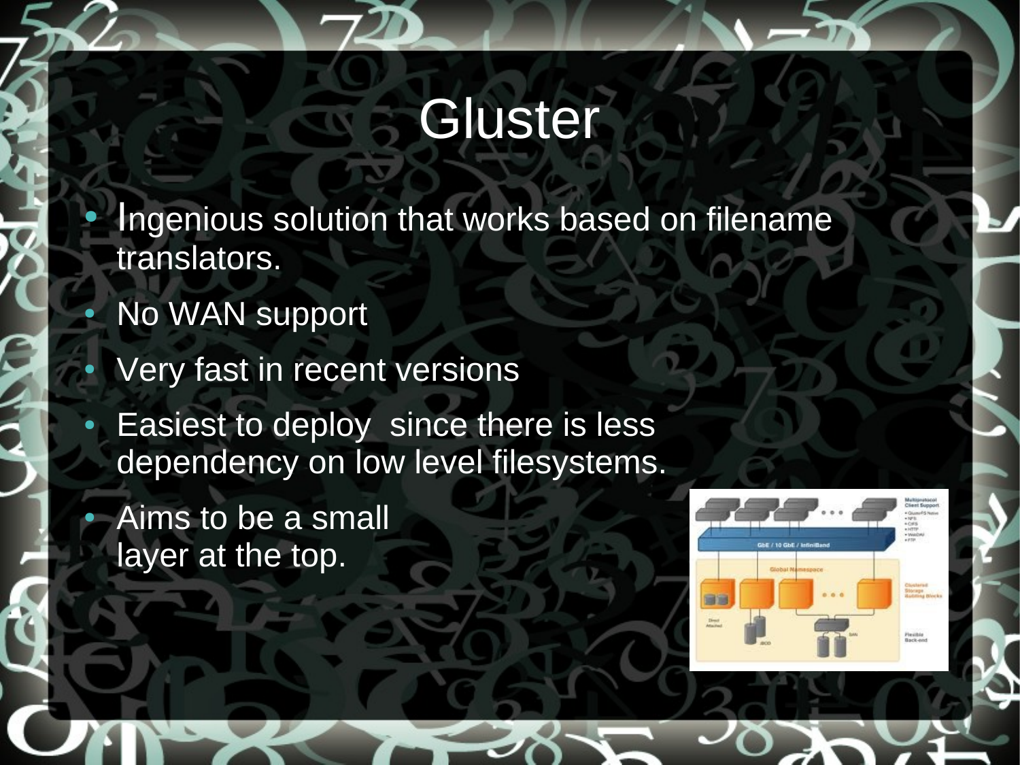### **Gluster**

Ingenious solution that works based on filename translators.

No WAN support

Very fast in recent versions

**Easiest to deploy since there is less** dependency on low level filesystems.

Aims to be a small layer at the top.

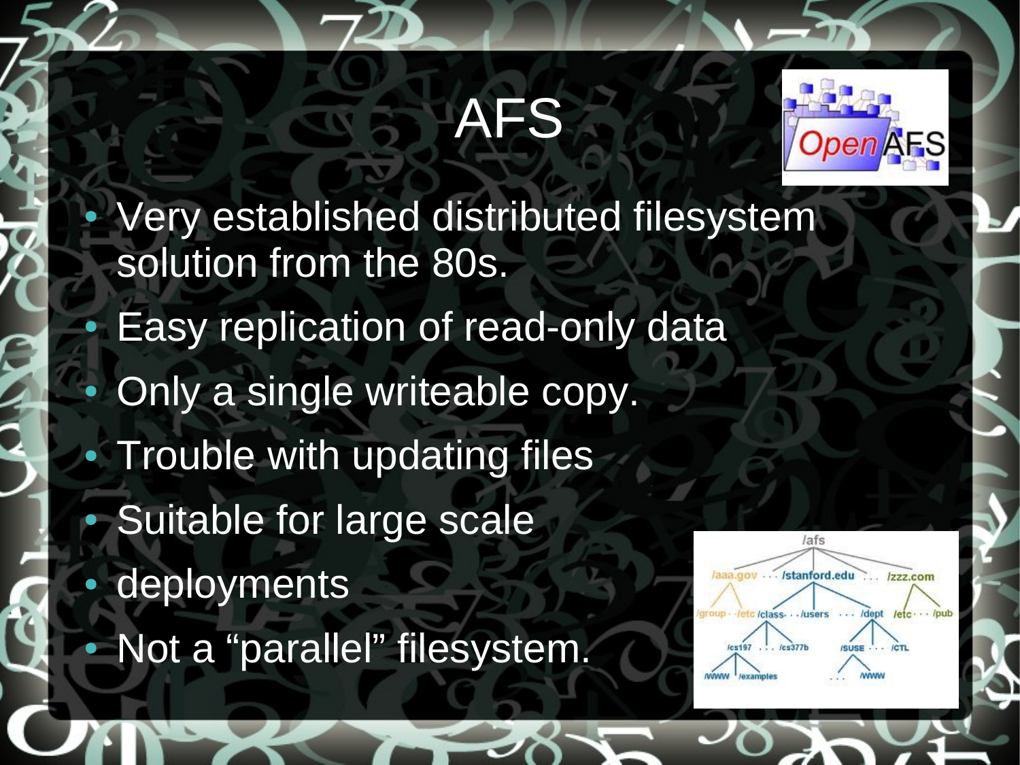## AFS



Very established distributed filesystem solution from the 80s. Easy replication of read-only data Only a single writeable copy. **Trouble with updating files** Suitable for large scale lafs deployments - /stanford.edu Not a "parallel" filesystem.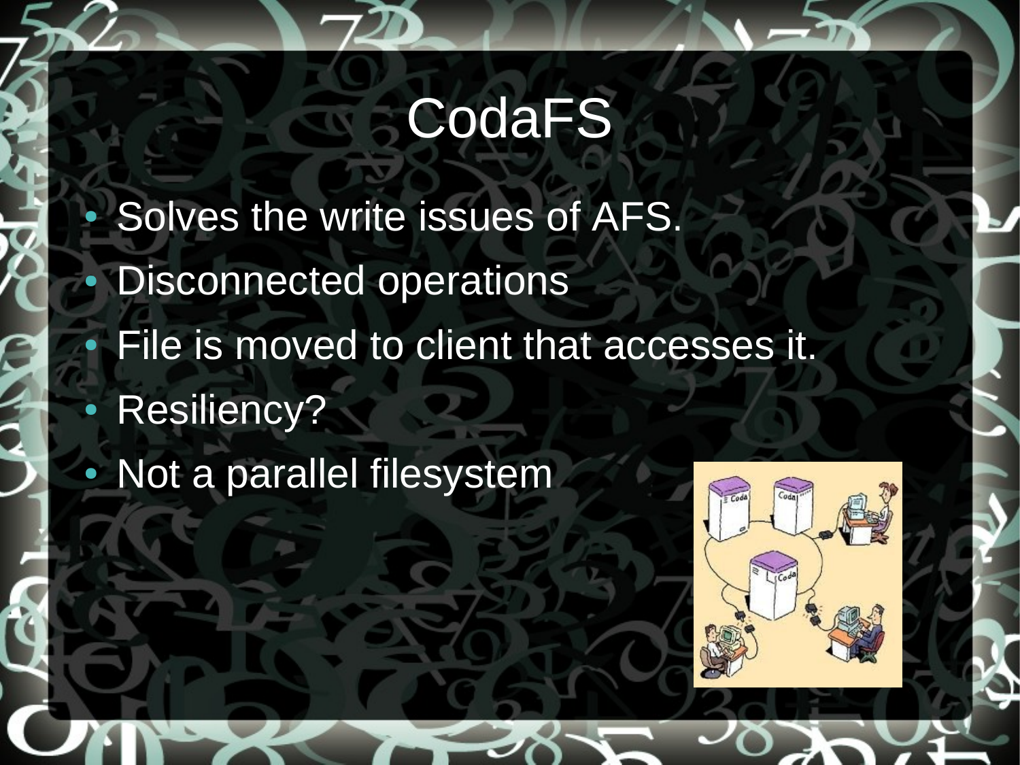## **CodaFS**

- Solves the write issues of AFS. **Disconnected operations** File is moved to client that accesses it. Resiliency?
- Not a parallel filesystem

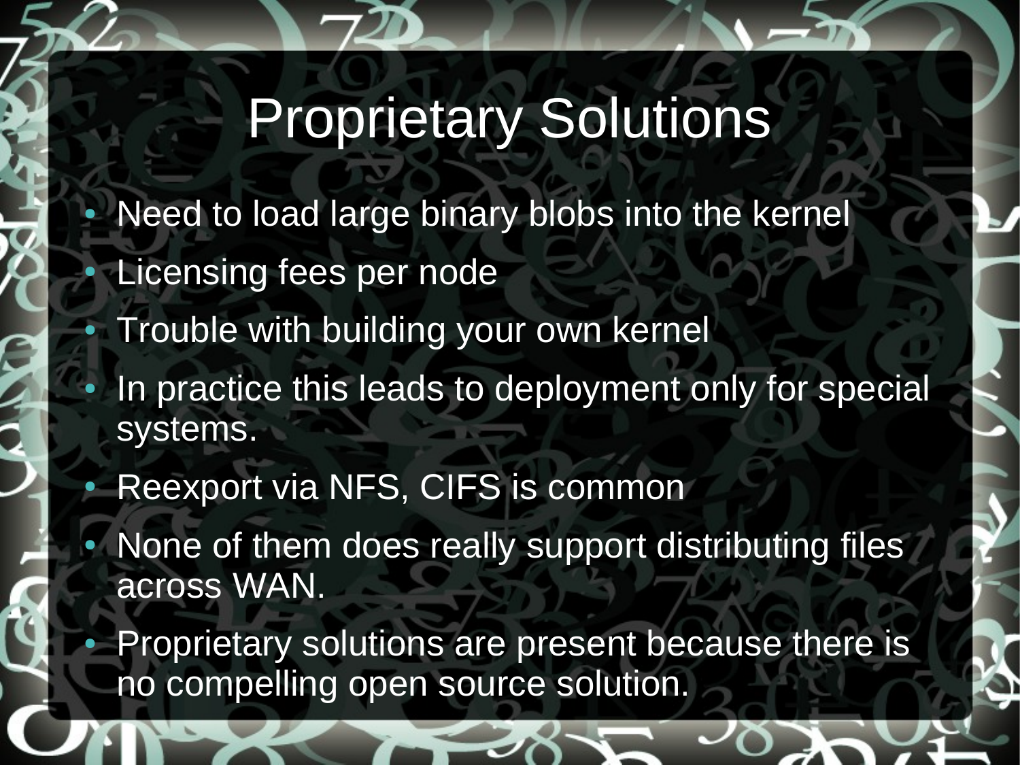## Proprietary Solutions

- Need to load large binary blobs into the kernel Licensing fees per node Trouble with building your own kernel
- In practice this leads to deployment only for special systems.
- Reexport via NFS, CIFS is common
- None of them does really support distributing files across WAN.
- Proprietary solutions are present because there is no compelling open source solution.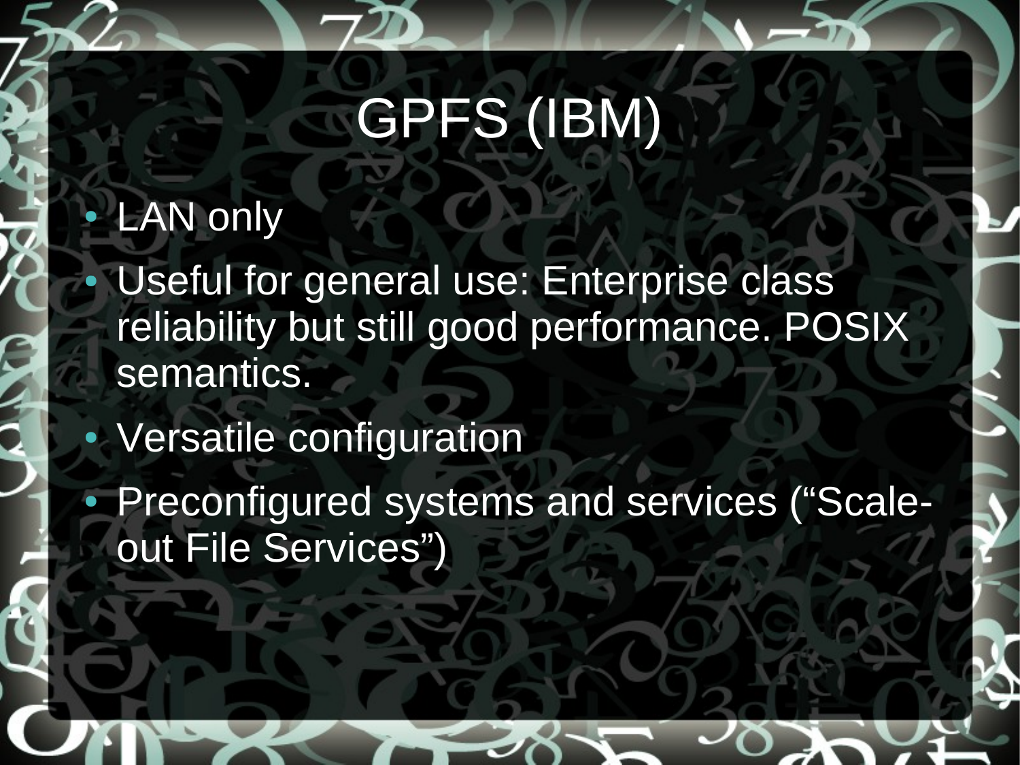## GPFS (IBM)

#### **LAN only**

- Useful for general use: Enterprise class reliability but still good performance. POSIX semantics.
- Versatile configuration
- Preconfigured systems and services ("Scaleout File Services")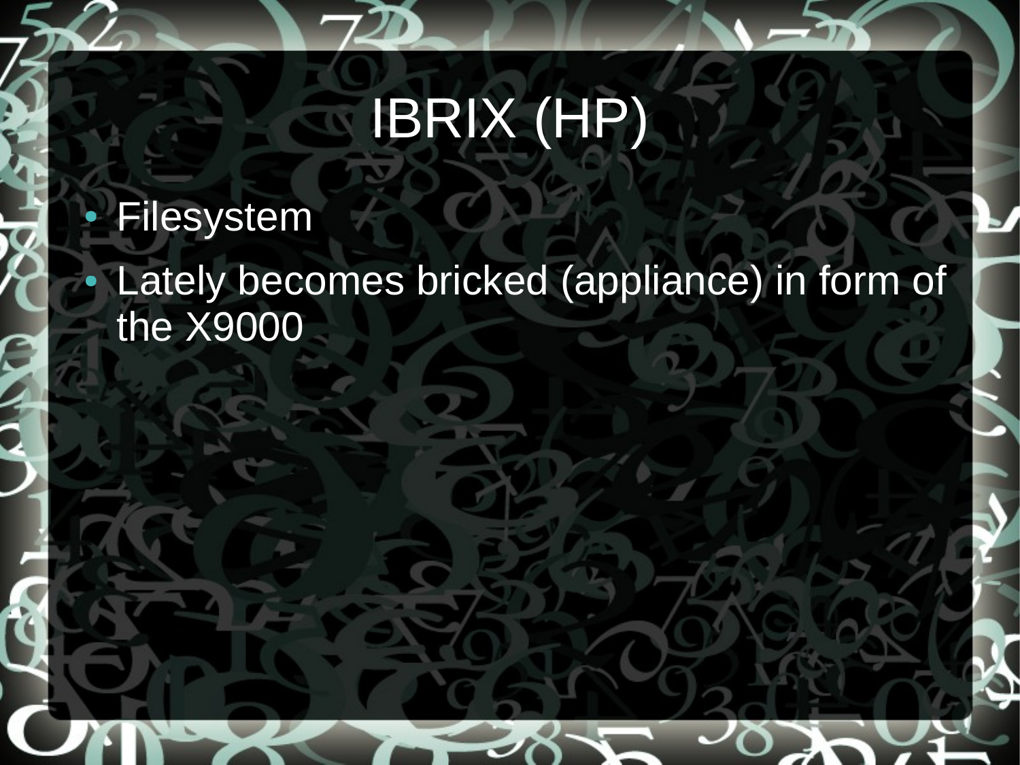# IBRIX (HP)

#### Filesystem

Lately becomes bricked (appliance) in form of the X9000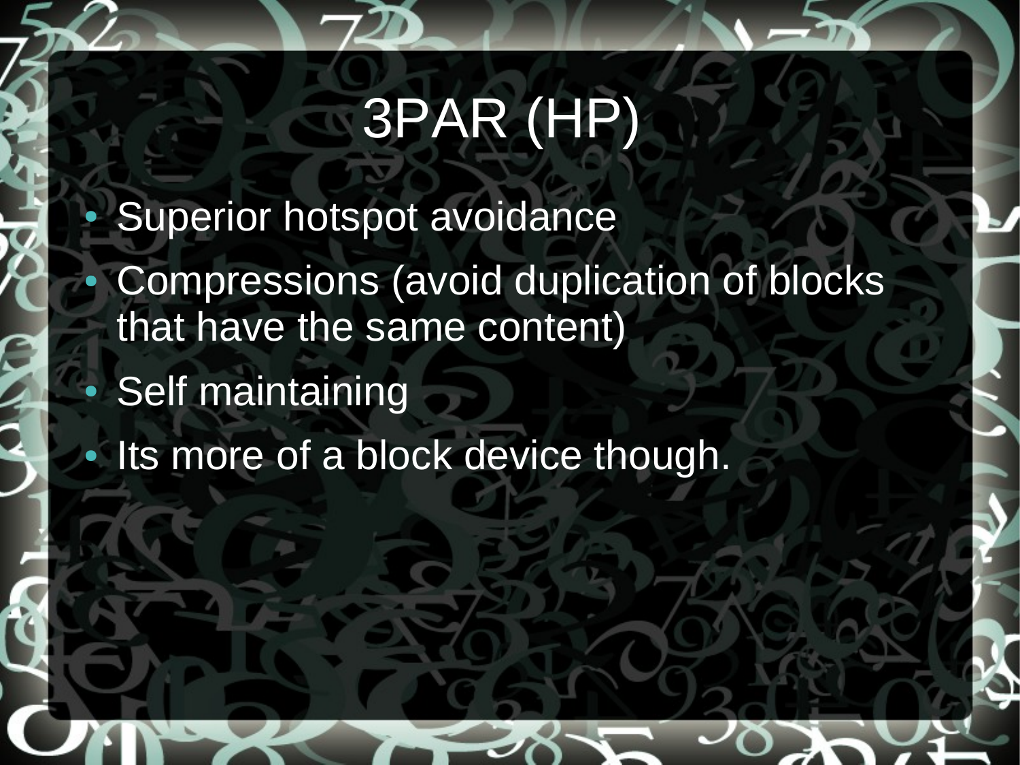## 3PAR (HP)

Superior hotspot avoidance Compressions (avoid duplication of blocks that have the same content) **Self maintaining** Its more of a block device though.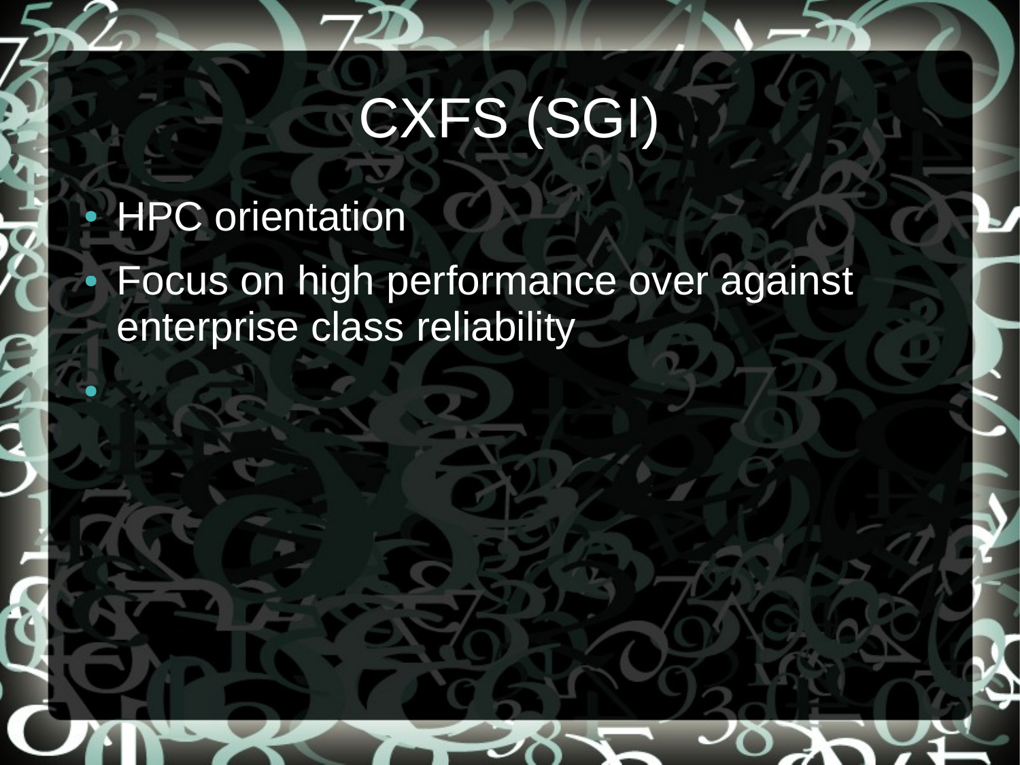# CXFS (SGI)

#### **HPC** orientation

●

Focus on high performance over against enterprise class reliability